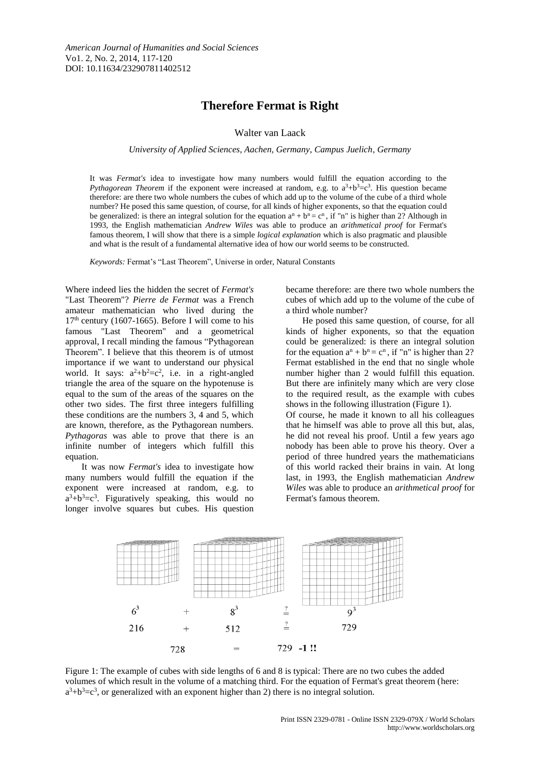## **Therefore Fermat is Right**

Walter van Laack

*University of Applied Sciences, Aachen, Germany, Campus Juelich, Germany*

It was *Fermat's* idea to investigate how many numbers would fulfill the equation according to the *Pythagorean Theorem* if the exponent were increased at random, e.g. to  $a^3+b^3=c^3$ . His question became therefore: are there two whole numbers the cubes of which add up to the volume of the cube of a third whole number? He posed this same question, of course, for all kinds of higher exponents, so that the equation could be generalized: is there an integral solution for the equation  $a^n + b^n = c^n$ , if "n" is higher than 2? Although in 1993, the English mathematician *Andrew Wiles* was able to produce an *arithmetical proof* for Fermat's famous theorem, I will show that there is a simple *logical explanation* which is also pragmatic and plausible and what is the result of a fundamental alternative idea of how our world seems to be constructed.

*Keywords:* Fermat's "Last Theorem", Universe in order, Natural Constants

Where indeed lies the hidden the secret of *Fermat's* "Last Theorem"? *Pierre de Fermat* was a French amateur mathematician who lived during the  $17<sup>th</sup>$  century (1607-1665). Before I will come to his famous "Last Theorem" and a geometrical approval, I recall minding the famous "Pythagorean Theorem". I believe that this theorem is of utmost importance if we want to understand our physical world. It says:  $a^2+b^2=c^2$ , i.e. in a right-angled triangle the area of the square on the hypotenuse is equal to the sum of the areas of the squares on the other two sides. The first three integers fulfilling these conditions are the numbers 3, 4 and 5, which are known, therefore, as the Pythagorean numbers. *Pythagoras* was able to prove that there is an infinite number of integers which fulfill this equation.

It was now *Fermat's* idea to investigate how many numbers would fulfill the equation if the exponent were increased at random, e.g. to  $a^3+b^3=c^3$ . Figuratively speaking, this would no longer involve squares but cubes. His question

became therefore: are there two whole numbers the cubes of which add up to the volume of the cube of a third whole number?

He posed this same question, of course, for all kinds of higher exponents, so that the equation could be generalized: is there an integral solution for the equation  $a^n + b^n = c^n$ , if "n" is higher than 2? Fermat established in the end that no single whole number higher than 2 would fulfill this equation. But there are infinitely many which are very close to the required result, as the example with cubes shows in the following illustration (Figure 1). Of course, he made it known to all his colleagues that he himself was able to prove all this but, alas, he did not reveal his proof. Until a few years ago nobody has been able to prove his theory. Over a period of three hundred years the mathematicians of this world racked their brains in vain. At long last, in 1993, the English mathematician *Andrew Wiles* was able to produce an *arithmetical proof* for Fermat's famous theorem.



Figure 1: The example of cubes with side lengths of 6 and 8 is typical: There are no two cubes the added volumes of which result in the volume of a matching third. For the equation of Fermat's great theorem (here:  $a^3+b^3=c^3$ , or generalized with an exponent higher than 2) there is no integral solution.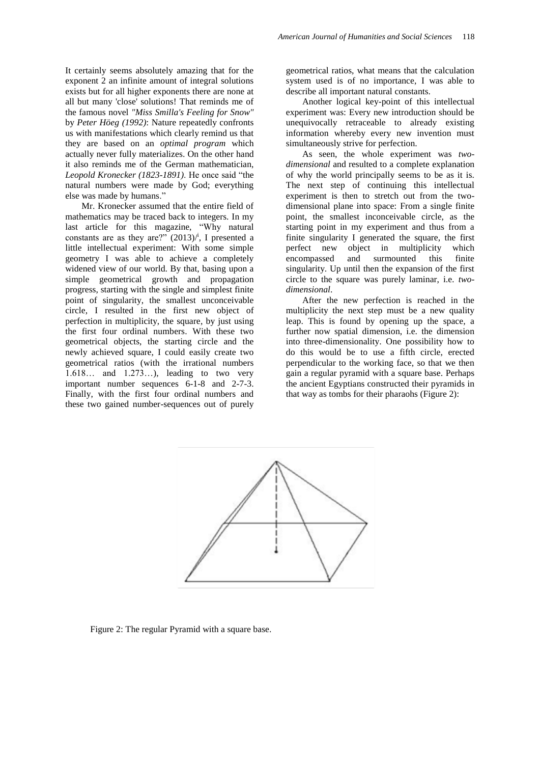It certainly seems absolutely amazing that for the exponent 2 an infinite amount of integral solutions exists but for all higher exponents there are none at all but many 'close' solutions! That reminds me of the famous novel *"Miss Smilla's Feeling for Snow"* by *Peter Höeg (1992)*: Nature repeatedly confronts us with manifestations which clearly remind us that they are based on an *optimal program* which actually never fully materializes. On the other hand it also reminds me of the German mathematician, *Leopold Kronecker (1823-1891)*. He once said "the natural numbers were made by God; everything else was made by humans."

Mr. Kronecker assumed that the entire field of mathematics may be traced back to integers. In my last article for this magazine, "Why natural constants are as they are?"  $(2013)/i$ , I presented a little intellectual experiment: With some simple geometry I was able to achieve a completely widened view of our world. By that, basing upon a simple geometrical growth and propagation progress, starting with the single and simplest finite point of singularity, the smallest unconceivable circle, I resulted in the first new object of perfection in multiplicity, the square, by just using the first four ordinal numbers. With these two geometrical objects, the starting circle and the newly achieved square, I could easily create two geometrical ratios (with the irrational numbers 1.618… and 1.273…), leading to two very important number sequences 6-1-8 and 2-7-3. Finally, with the first four ordinal numbers and these two gained number-sequences out of purely geometrical ratios, what means that the calculation system used is of no importance, I was able to describe all important natural constants.

Another logical key-point of this intellectual experiment was: Every new introduction should be unequivocally retraceable to already existing information whereby every new invention must simultaneously strive for perfection.

As seen, the whole experiment was *twodimensional* and resulted to a complete explanation of why the world principally seems to be as it is. The next step of continuing this intellectual experiment is then to stretch out from the twodimensional plane into space: From a single finite point, the smallest inconceivable circle, as the starting point in my experiment and thus from a finite singularity I generated the square, the first perfect new object in multiplicity which encompassed and surmounted this finite singularity. Up until then the expansion of the first circle to the square was purely laminar, i.e*. twodimensional*.

After the new perfection is reached in the multiplicity the next step must be a new quality leap. This is found by opening up the space, a further now spatial dimension, i.e. the dimension into three-dimensionality. One possibility how to do this would be to use a fifth circle, erected perpendicular to the working face, so that we then gain a regular pyramid with a square base. Perhaps the ancient Egyptians constructed their pyramids in that way as tombs for their pharaohs (Figure 2):



Figure 2: The regular Pyramid with a square base.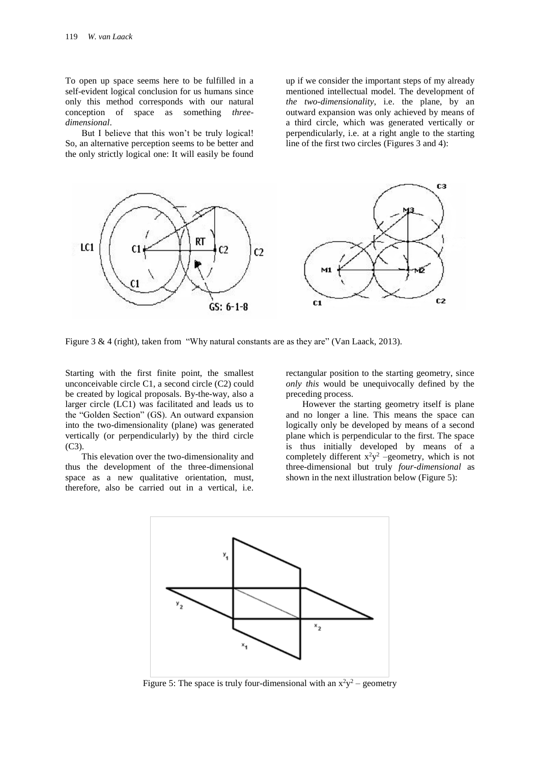To open up space seems here to be fulfilled in a self-evident logical conclusion for us humans since only this method corresponds with our natural conception of space as something *threedimensional*.

But I believe that this won't be truly logical! So, an alternative perception seems to be better and the only strictly logical one: It will easily be found up if we consider the important steps of my already mentioned intellectual model. The development of *the two-dimensionality*, i.e. the plane, by an outward expansion was only achieved by means of a third circle, which was generated vertically or perpendicularly, i.e. at a right angle to the starting line of the first two circles (Figures 3 and 4):



Figure 3 & 4 (right), taken from "Why natural constants are as they are" (Van Laack, 2013).

Starting with the first finite point, the smallest unconceivable circle C1, a second circle (C2) could be created by logical proposals. By-the-way, also a larger circle (LC1) was facilitated and leads us to the "Golden Section" (GS). An outward expansion into the two-dimensionality (plane) was generated vertically (or perpendicularly) by the third circle  $(C3)$ .

This elevation over the two-dimensionality and thus the development of the three-dimensional space as a new qualitative orientation, must, therefore, also be carried out in a vertical, i.e. rectangular position to the starting geometry, since *only this* would be unequivocally defined by the preceding process.

However the starting geometry itself is plane and no longer a line. This means the space can logically only be developed by means of a second plane which is perpendicular to the first. The space is thus initially developed by means of a completely different  $x^2y^2$  –geometry, which is not three-dimensional but truly *four-dimensional* as shown in the next illustration below (Figure 5):



Figure 5: The space is truly four-dimensional with an  $x^2y^2$  – geometry